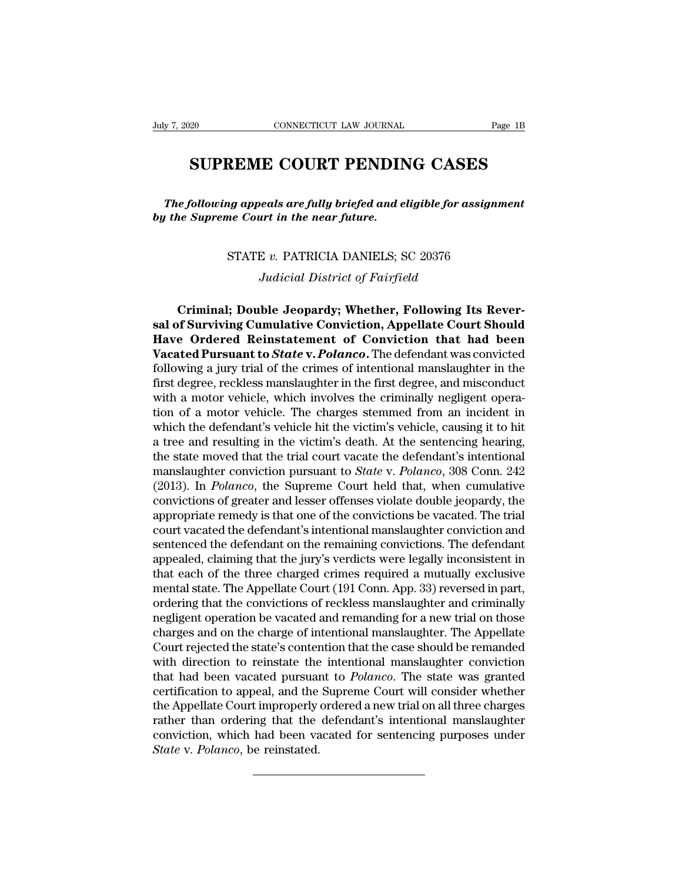## EXAMPLEMENT CONNECTICUT LAW JOURNAL Page 1B<br> **SUPREME COURT PENDING CASES**

*The following appeals are fully briefed and eligible for assignment*<br> *The following appeals are fully briefed and eligible for assignment*<br> *The Supreme Court in the near future.* **by SUPREME COURT PENDINT**<br>*The following appeals are fully briefed and e*<br>*by the Supreme Court in the near future.* **EXEME COURT FENDING CASES**<br>in appeals are fully briefed and eligible for assignm<br>me Court in the near future.<br>STATE v. PATRICIA DANIELS; SC 20376<br>Judicial District of Fairfield *Judicial Briefed and eligible for ass*<br>*Judicial District of Fairfield*<br>*Judicial District of Fairfield*<br>*Judicial District of Fairfield* 

**CRIMBON CONTRIGHT WATER CONTRIGHT STATE v. PATRICIA DANIELS; SC 20376**<br> *Criminal; Double Jeopardy; Whether, Following Its Rever-*<br> **Criminal; Double Jeopardy; Whether, Following Its Rever-**<br> **Consistent Conviction, Appel STATE v. PATRICIA DANIELS; SC 20376**<br>
Judicial District of Fairfield<br> **Criminal; Double Jeopardy; Whether, Following Its Reversal of Surviving Cumulative Conviction, Appellate Court Should**<br> **Have Ordered Reinstatement of STATE v. PATRICIA DANIELS; SC 20376**<br>*Judicial District of Fairfield*<br>**Criminal; Double Jeopardy; Whether, Following Its Reversal of Surviving Cumulative Conviction, Appellate Court Should<br><b>Have Ordered Reinstatement of C** *Judicial District of Fairfield*<br>Criminal; Double Jeopardy; Whether, Following Its Reversal of Surviving Cumulative Conviction, Appellate Court Should<br>Have Ordered Reinstatement of Conviction that had been<br>Vacated Pursuant Judicial District of Fairfield<br>Criminal; Double Jeopardy; Whether, Following Its Rever-<br>sal of Surviving Cumulative Conviction, Appellate Court Should<br>Have Ordered Reinstatement of Conviction that had been<br>Vacated Pursuant Criminal; Double Jeopardy; Whether, Following Its Reversal of Surviving Cumulative Conviction, Appellate Court Should<br>Have Ordered Reinstatement of Conviction that had been<br>Vacated Pursuant to *State* v. *Polanco*. The def Criminal; Double Jeopardy; Whether, Following Its Reversal of Surviving Cumulative Conviction, Appellate Court Should<br>Have Ordered Reinstatement of Conviction that had been<br>Vacated Pursuant to *State* v. *Polanco*. The def sal of Surviving Cumulative Conviction, Appellate Court Should<br>Have Ordered Reinstatement of Conviction that had been<br>Vacated Pursuant to *State* v. *Polanco*. The defendant was convicted<br>following a jury trial of the crim **Have Ordered Reinstatement of Conviction that had been**<br>Vacated Pursuant to *State* v. *Polanco*. The defendant was convicted<br>following a jury trial of the crimes of intentional manslaughter in the<br>first degree, reckless **Vacated Pursuant to** *State* **v.** *Polanco*. The defendant was convicted following a jury trial of the crimes of intentional manslaughter in the first degree, reckless manslaughter in the first degree, and misconduct with following a jury trial of the crimes of intentional manslaughter in the first degree, reckless manslaughter in the first degree, and misconduct with a motor vehicle, which involves the criminally negligent operation of a first degree, reckless manslaughter in the first degree, and misconduct<br>with a motor vehicle, which involves the criminally negligent opera-<br>tion of a motor vehicle. The charges stemmed from an incident in<br>which the defend with a motor vehicle, which involves the criminally negligent operation of a motor vehicle. The charges stemmed from an incident in which the defendant's vehicle hit the victim's vehicle, causing it to hit a tree and resul tion of a motor vehicle. The charges stemmed from an incident in<br>which the defendant's vehicle hit the victim's vehicle, causing it to hit<br>a tree and resulting in the victim's death. At the sentencing hearing,<br>the state m which the defendant's vehicle hit the victim's vehicle, causing it to hit<br>a tree and resulting in the victim's death. At the sentencing hearing,<br>the state moved that the trial court vacate the defendant's intentional<br>mans a tree and resulting in the victim's death. At the sentencing hearing,<br>the state moved that the trial court vacate the defendant's intentional<br>manslaughter conviction pursuant to *State* v. *Polanco*, 308 Conn. 242<br>(2013). the state moved that the trial court vacate the defendant's intentional manslaughter conviction pursuant to *State* v. *Polanco*, 308 Conn. 242 (2013). In *Polanco*, the Supreme Court held that, when cumulative convictions manslaughter conviction pursuant to *State* v. *Polanco*, 308 Conn. 242 (2013). In *Polanco*, the Supreme Court held that, when cumulative convictions of greater and lesser offenses violate double jeopardy, the appropriat (2013). In *Polanco*, the Supreme Court held that, when cumulative convictions of greater and lesser offenses violate double jeopardy, the appropriate remedy is that one of the convictions be vacated. The trial court vacat convictions of greater and lesser offenses violate double jeopardy, the<br>appropriate remedy is that one of the convictions be vacated. The trial<br>court vacated the defendant's intentional manslaughter conviction and<br>sentence appropriate remedy is that one of the convictions be vacated. The trial<br>court vacated the defendant's intentional manslaughter conviction and<br>sentenced the defendant on the remaining convictions. The defendant<br>appealed, cl court vacated the defendant's intentional manslaughter conviction and<br>sentenced the defendant on the remaining convictions. The defendant<br>appealed, claiming that the jury's verdicts were legally inconsistent in<br>that each o sentenced the defendant on the remaining convictions. The defendant<br>appealed, claiming that the jury's verdicts were legally inconsistent in<br>that each of the three charged crimes required a mutually exclusive<br>mental state. appealed, claiming that the jury's verdicts were legally inconsistent in<br>that each of the three charged crimes required a mutually exclusive<br>mental state. The Appellate Court (191 Conn. App. 33) reversed in part,<br>ordering that each of the three charged crimes required a mutually exclusive<br>mental state. The Appellate Court (191 Conn. App. 33) reversed in part,<br>ordering that the convictions of reckless manslaughter and criminally<br>negligent op mental state. The Appellate Court (191 Conn. App. 33) reversed in part,<br>ordering that the convictions of reckless manslaughter and criminally<br>negligent operation be vacated and remanding for a new trial on those<br>charges an ordering that the convictions of reckless manslaughter and criminally<br>negligent operation be vacated and remanding for a new trial on those<br>charges and on the charge of intentional manslaughter. The Appellate<br>Court rejecte negligent operation be vacated and remanding for a new trial on those<br>charges and on the charge of intentional manslaughter. The Appellate<br>Court rejected the state's contention that the case should be remanded<br>with directi charges and on the charge of intentional manslaughter. The Appellate<br>Court rejected the state's contention that the case should be remanded<br>with direction to reinstate the intentional manslaughter conviction<br>that had been Court rejected the state's contention that the case should be remanded<br>with direction to reinstate the intentional manslaughter conviction<br>that had been vacated pursuant to *Polanco*. The state was granted<br>certification to with direction to reinstate the<br>that had been vacated pursuar<br>certification to appeal, and the<br>the Appellate Court improperly<br>rather than ordering that the<br>conviction, which had been va<br>*State* v. Polanco, be reinstated.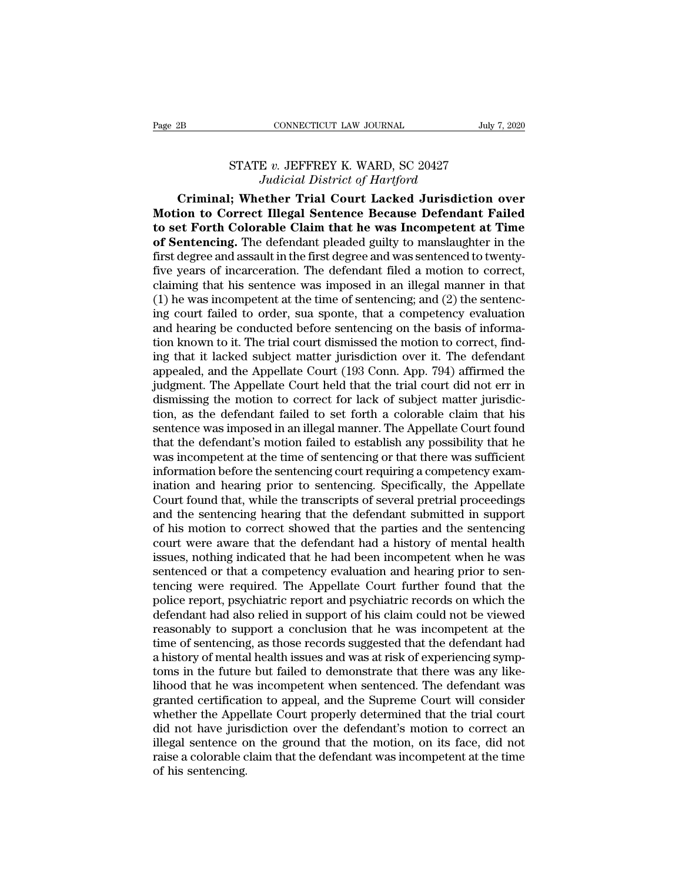## CONNECTICUT LAW JOURNAL July 7,<br>STATE *v.* JEFFREY K. WARD, SC 20427<br>*Judicial District of Hartford CONNECTICUT LAW JOURNAL*<br>*E v. JEFFREY K. WARD, SC 20427<br><i>Judicial District of Hartford*<br>**ether Trial Court Lacked Jurisdicti**

**CONNECTICUT LAW JOURNAL** July 7, 2020<br>
STATE v. JEFFREY K. WARD, SC 20427<br> *Judicial District of Hartford*<br> **Criminal; Whether Trial Court Lacked Jurisdiction over**<br> **Condition to Correct Illegal Sentence Because Defendan** Page 2B CONNECTICUT LAW JOURNAL July 7, 2020<br>
STATE v. JEFFREY K. WARD, SC 20427<br>
Judicial District of Hartford<br> **Criminal; Whether Trial Court Lacked Jurisdiction over**<br> **Motion to Correct Illegal Sentence Because Defenda to set Forth Colorable Claim that he was Incompetent at Time**<br> **to set Forth Colorable Claim that he was Incompetent at Time**<br> **of Sentencing.** The defendant pleaded guilty to manslaughter in the<br> **first degree and assaul STATE v. JEFFREY K. WARD, SC 20427**<br>*Judicial District of Hartford*<br>**Criminal; Whether Trial Court Lacked Jurisdiction over**<br>**Motion to Correct Illegal Sentence Because Defendant Failed**<br>**to set Forth Colorable Claim that** STATE v. JEFFREY K. WARD, SC 20427<br>Judicial District of Hartford<br>Criminal; Whether Trial Court Lacked Jurisdiction over<br>Motion to Correct Illegal Sentence Because Defendant Failed<br>to set Forth Colorable Claim that he was I Judicial District of Hartford<br>Criminal; Whether Trial Court Lacked Jurisdiction over<br>Motion to Correct Illegal Sentence Because Defendant Failed<br>to set Forth Colorable Claim that he was Incompetent at Time<br>of Sentencing. Criminal; Whether Trial Court Lacked Jurisdiction over<br>Motion to Correct Illegal Sentence Because Defendant Failed<br>to set Forth Colorable Claim that he was Incompetent at Time<br>of Sentencing. The defendant pleaded guilty to Motion to Correct Illegal Sentence Because Defendant Failed<br>to set Forth Colorable Claim that he was Incompetent at Time<br>of Sentencing. The defendant pleaded guilty to manslaughter in the<br>first degree and assault in the fi to set Forth Colorable Claim that he was Incompetent at Time<br>of Sentencing. The defendant pleaded guilty to manslaughter in the<br>first degree and assault in the first degree and was sentenced to twenty-<br>five years of incarc **of Sentencing.** The defendant pleaded guilty to manslaughter in the first degree and assault in the first degree and was sentenced to twenty-<br>five years of incarceration. The defendant filed a motion to correct,<br>claiming first degree and assault in the first degree and was sentenced to twenty-<br>five years of incarceration. The defendant filed a motion to correct,<br>claiming that his sentence was imposed in an illegal manner in that<br>(1) he wa five years of incarceration. The defendant filed a motion to correct,<br>claiming that his sentence was imposed in an illegal manner in that<br>(1) he was incompetent at the time of sentencing; and (2) the sentenc-<br>ing court fai claiming that his sentence was imposed in an illegal manner in that (1) he was incompetent at the time of sentencing; and (2) the sentencing court failed to order, sua sponte, that a competency evaluation and hearing be co (1) he was incompetent at the time of sentencing; and (2) the sentencing court failed to order, sua sponte, that a competency evaluation and hearing be conducted before sentencing on the basis of information known to it. ing court failed to order, sua sponte, that a competency evaluation<br>and hearing be conducted before sentencing on the basis of informa-<br>tion known to it. The trial court dismissed the motion to correct, find-<br>ing that it l and hearing be conducted before sentencing on the basis of information known to it. The trial court dismissed the motion to correct, finding that it lacked subject matter jurisdiction over it. The defendant appealed, and t tion known to it. The trial court dismissed the motion to correct, find-<br>ing that it lacked subject matter jurisdiction over it. The defendant<br>appealed, and the Appellate Court (193 Conn. App. 794) affirmed the<br>judgment. T ing that it lacked subject matter jurisdiction over it. The defendant<br>appealed, and the Appellate Court (193 Conn. App. 794) affirmed the<br>judgment. The Appellate Court held that the trial court did not err in<br>dismissing th appealed, and the Appellate Court (193 Conn. App. 794) affirmed the<br>judgment. The Appellate Court held that the trial court did not err in<br>dismissing the motion to correct for lack of subject matter jurisdic-<br>tion, as the judgment. The Appellate Court held that the trial court did not err in dismissing the motion to correct for lack of subject matter jurisdiction, as the defendant failed to set forth a colorable claim that his sentence was dismissing the motion to correct for lack of subject matter jurisdiction, as the defendant failed to set forth a colorable claim that his sentence was imposed in an illegal manner. The Appellate Court found that the defend tion, as the defendant failed to set forth a colorable claim that his<br>sentence was imposed in an illegal manner. The Appellate Court found<br>that the defendant's motion failed to establish any possibility that he<br>was incompe sentence was imposed in an illegal manner. The Appellate Court found<br>that the defendant's motion failed to establish any possibility that he<br>was incompetent at the time of sentencing or that there was sufficient<br>informatio that the defendant's motion failed to establish any possibility that he<br>was incompetent at the time of sentencing or that there was sufficient<br>information before the sentencing court requiring a competency exam-<br>ination an was incompetent at the time of sentencing or that there was sufficient<br>information before the sentencing court requiring a competency exam-<br>ination and hearing prior to sentencing. Specifically, the Appellate<br>Court found t information before the sentencing court requiring a competency examination and hearing prior to sentencing. Specifically, the Appellate Court found that, while the transcripts of several pretrial proceedings and the senten ination and hearing prior to sentencing. Specifically, the Appellate<br>Court found that, while the transcripts of several pretrial proceedings<br>and the sentencing hearing that the defendant submitted in support<br>of his motion Court found that, while the transcripts of several pretrial proceedings<br>and the sentencing hearing that the defendant submitted in support<br>of his motion to correct showed that the parties and the sentencing<br>court were awar and the sentencing hearing that the defendant submitted in support<br>of his motion to correct showed that the parties and the sentencing<br>court were aware that the defendant had a history of mental health<br>issues, nothing indi of his motion to correct showed that the parties and the sentencing<br>court were aware that the defendant had a history of mental health<br>issues, nothing indicated that he had been incompetent when he was<br>sentenced or that a court were aware that the defendant had a history of mental health<br>issues, nothing indicated that he had been incompetent when he was<br>sentenced or that a competency evaluation and hearing prior to sen-<br>tencing were require issues, nothing indicated that he had been incompetent when he was<br>sentenced or that a competency evaluation and hearing prior to sen-<br>tencing were required. The Appellate Court further found that the<br>police report, psychi sentenced or that a competency evaluation and hearing prior to sentencing were required. The Appellate Court further found that the police report, psychiatric report and psychiatric records on which the defendant had also tencing were required. The Appellate Court further found that the police report, psychiatric report and psychiatric records on which the defendant had also relied in support of his claim could not be viewed reasonably to s police report, psychiatric report and psychiatric records on which the defendant had also relied in support of his claim could not be viewed reasonably to support a conclusion that he was incompetent at the time of sentenc defendant had also relied in support of his claim could not be viewed<br>reasonably to support a conclusion that he was incompetent at the<br>time of sentencing, as those records suggested that the defendant had<br>a history of men reasonably to support a conclusion that he was incompetent at the time of sentencing, as those records suggested that the defendant had a history of mental health issues and was at risk of experiencing symptoms in the futu time of sentencing, as those records suggested that the defendant had<br>a history of mental health issues and was at risk of experiencing symp-<br>toms in the future but failed to demonstrate that there was any like-<br>lihood tha a history of mental health issues and was at risk of experiencing symptoms in the future but failed to demonstrate that there was any like-<br>lihood that he was incompetent when sentenced. The defendant was<br>granted certifica toms in the future but failed to demonstrate that there was any like-<br>lihood that he was incompetent when sentenced. The defendant was<br>granted certification to appeal, and the Supreme Court will consider<br>whether the Appell lihood that he wa<br>granted certificati<br>whether the Appe<br>did not have juris<br>illegal sentence o<br>raise a colorable c<br>of his sentencing.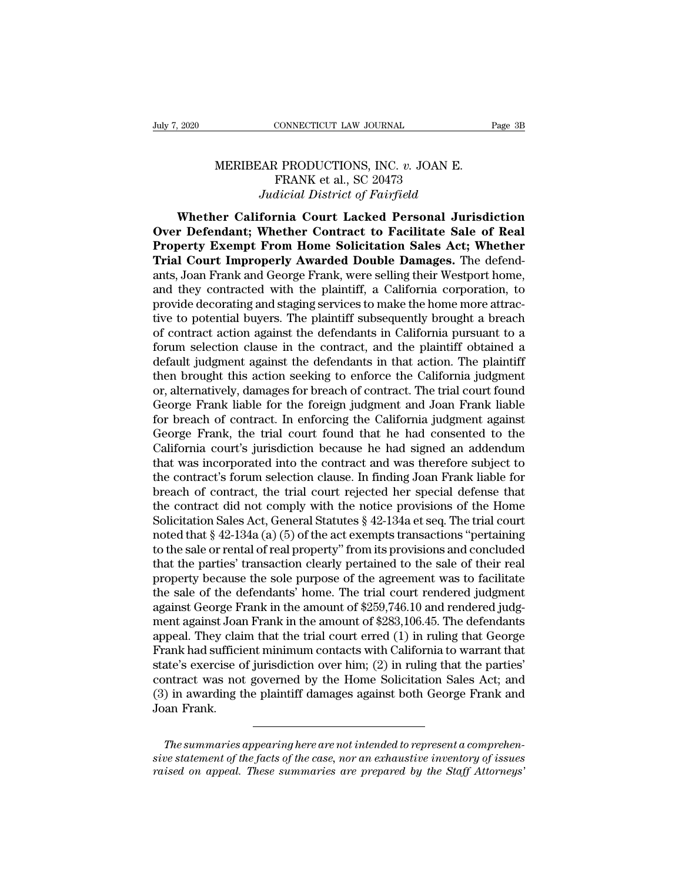## CONNECTICUT LAW JOURNAL<br>MERIBEAR PRODUCTIONS, INC. *v.* JOAN E.<br>FRANK et al., SC 20473<br>*Indicial District of Eairfield* CONNECTICUT LAW JOURNAL<br>R PRODUCTIONS, INC. v. JOAN E<br>FRANK et al., SC 20473<br>*dicial District of Fairfield CONNECTICUT LAW JOURNAL*<br>*JAR PRODUCTIONS, INC. v. JOAN E.*<br>*FRANK et al., SC 20473*<br>*Judicial District of Fairfield*<br>**fornia Court Lacked Personal Juris**

EXECTE AN JOURNAL Page 3B<br>
MERIBEAR PRODUCTIONS, INC. v. JOAN E.<br>
FRANK et al., SC 20473<br> *Judicial District of Fairfield*<br> **Whether California Court Lacked Personal Jurisdiction**<br> **r Defendant; Whether Contract to Facilit** MERIBEAR PRODUCTIONS, INC. *v.* JOAN E.<br>FRANK et al., SC 20473<br>*Judicial District of Fairfield*<br>Whether California Court Lacked Personal Jurisdiction<br>Over Defendant; Whether Contract to Facilitate Sale of Real<br>Property Exe **PRANK et al., SC 20473**<br> **PRANK et al., SC 20473**<br> *Property Exempt From Home Solicitation Sales Act; Whether California Court Lacked Personal Jurisdiction<br>
Over Defendant; Whether Contract to Facilitate Sale of Real<br>
Pro* **TRANK et al., SC 20473**<br> **TRANK et al., SC 20473**<br> *Tudicial District of Fairfield*<br> **The California Court Lacked Personal Jurisdiction**<br> **Over Defendant; Whether Contract to Facilitate Sale of Real<br>
<b>Property Exempt From** *Antinum et al.*, 50 20416<br>*Judicial District of Fairfield*<br>**Cover Defendant; Whether Contract to Facilitate Sale of Real<br>Property Exempt From Home Solicitation Sales Act; Whether<br>Trial Court Improperly Awarded Double Dama Example 19 Transferred Murisdiction**<br> **Subset Contract to Facilitate Sale of Real**<br> **Property Exempt From Home Solicitation Sales Act; Whether<br>
Trial Court Improperly Awarded Double Damages.** The defend-<br>
ants, Joan Frank Whether California Court Lacked Personal Jurisdiction<br>Over Defendant; Whether Contract to Facilitate Sale of Real<br>Property Exempt From Home Solicitation Sales Act; Whether<br>Trial Court Improperly Awarded Double Damages. The Over Defendant; Whether Contract to Facilitate Sale of Real<br>Property Exempt From Home Solicitation Sales Act; Whether<br>Trial Court Improperly Awarded Double Damages. The defend-<br>ants, Joan Frank and George Frank, were selli **Property Exempt From Home Solicitation Sales Act; Whether Trial Court Improperly Awarded Double Damages.** The defendants, Joan Frank and George Frank, were selling their Westport home, and they contracted with the plainti **Trial Court Improperly Awarded Double Damages.** The defendants, Joan Frank and George Frank, were selling their Westport home, and they contracted with the plaintiff, a California corporation, to provide decorating and st ants, Joan Frank and George Frank, were selling their Westport home,<br>and they contracted with the plaintiff, a California corporation, to<br>provide decorating and staging services to make the home more attrac-<br>tive to potent and they contracted with the plaintiff, a California corporation, to<br>provide decorating and staging services to make the home more attrac-<br>tive to potential buyers. The plaintiff subsequently brought a breach<br>of contract a provide decorating and staging services to make the home more attractive to potential buyers. The plaintiff subsequently brought a breach of contract action against the defendants in California pursuant to a forum selectio tive to potential buyers. The plaintiff subsequently brought a breach<br>of contract action against the defendants in California pursuant to a<br>forum selection clause in the contract, and the plaintiff obtained a<br>default judgm of contract action against the defendants in California pursuant to a<br>forum selection clause in the contract, and the plaintiff obtained a<br>default judgment against the defendants in that action. The plaintiff<br>then brought forum selection clause in the contract, and the plaintiff obtained a<br>default judgment against the defendants in that action. The plaintiff<br>then brought this action seeking to enforce the California judgment<br>or, alternative default judgment against the defendants in that action. The plaintiff<br>then brought this action seeking to enforce the California judgment<br>or, alternatively, damages for breach of contract. The trial court found<br>George Fran then brought this action seeking to enforce the California judgment<br>or, alternatively, damages for breach of contract. The trial court found<br>George Frank liable for the foreign judgment and Joan Frank liable<br>for breach of or, alternatively, damages for breach of contract. The trial court found<br>George Frank liable for the foreign judgment and Joan Frank liable<br>for breach of contract. In enforcing the California judgment against<br>George Frank, George Frank liable for the foreign judgment and Joan Frank liable<br>for breach of contract. In enforcing the California judgment against<br>George Frank, the trial court found that he had consented to the<br>California court's j for breach of contract. In enforcing the California judgment against<br>George Frank, the trial court found that he had consented to the<br>California court's jurisdiction because he had signed an addendum<br>that was incorporated George Frank, the trial court found that he had consented to the California court's jurisdiction because he had signed an addendum that was incorporated into the contract and was therefore subject to the contract's forum California court's jurisdiction because he had signed an addendum<br>that was incorporated into the contract and was therefore subject to<br>the contract's forum selection clause. In finding Joan Frank liable for<br>breach of contr that was incorporated into the contract and was therefore subject to<br>the contract's forum selection clause. In finding Joan Frank liable for<br>breach of contract, the trial court rejected her special defense that<br>the contrac the contract's forum selection clause. In finding Joan Frank liable for<br>breach of contract, the trial court rejected her special defense that<br>the contract did not comply with the notice provisions of the Home<br>Solicitation breach of contract, the trial court rejected her special defense that<br>the contract did not comply with the notice provisions of the Home<br>Solicitation Sales Act, General Statutes § 42-134a et seq. The trial court<br>noted that the contract did not comply with the notice provisions of the Home<br>Solicitation Sales Act, General Statutes  $\S$  42-134a et seq. The trial court<br>noted that  $\S$  42-134a (a) (5) of the act exempts transactions "pertaining<br>to Solicitation Sales Act, General Statutes  $\S$  42-134a et seq. The trial court<br>noted that  $\S$  42-134a (a) (5) of the act exempts transactions "pertaining<br>to the sale or rental of real property" from its provisions and concl noted that § 42-134a (a) (5) of the act exempts transactions "pertaining<br>to the sale or rental of real property" from its provisions and concluded<br>that the parties' transaction clearly pertained to the sale of their real<br>p to the sale or rental of real property" from its provisions and concluded<br>that the parties' transaction clearly pertained to the sale of their real<br>property because the sole purpose of the agreement was to facilitate<br>the s that the parties' transaction clearly pertained to the sale of their real<br>property because the sole purpose of the agreement was to facilitate<br>the sale of the defendants' home. The trial court rendered judgment<br>against Geo property because the sole purpose of the agreement was to facilitate<br>the sale of the defendants' home. The trial court rendered judgment<br>against George Frank in the amount of \$259,746.10 and rendered judgment<br>against Joan the sale of the defendants' home. The trial court rendered judgment<br>against George Frank in the amount of \$259,746.10 and rendered judg-<br>ment against Joan Frank in the amount of \$283,106.45. The defendants<br>appeal. They cla against George Frank in the amount of \$259,746.10 and rendered judgment against Joan Frank in the amount of \$283,106.45. The defendants appeal. They claim that the trial court erred (1) in ruling that George Frank had suff ment against Joan<br>appeal. They clai<br>Frank had sufficie<br>state's exercise o<br>contract was not<br>(3) in awarding t<br>Joan Frank. *The summaries appearing here are not intended to represent a comprehen-*<br>*The summaries appearing here are not intended to represent a comprehen-*<br>*The summaries appearing here are not intended to represent a comprehen-*<br> contract was not governed by the Home Solicitation Sales Act; and<br>
(3) in awarding the plaintiff damages against both George Frank and<br>
Joan Frank.<br>
The summaries appearing here are not intended to represent a comprehen-<br>

*Frank* and Joan Frank.<br> *raised on appearing here are not intended to represent a comprehensive statement of the facts of the case, nor an exhaustive inventory of issues*<br> *raised on appeal. These summaries are prepared b*